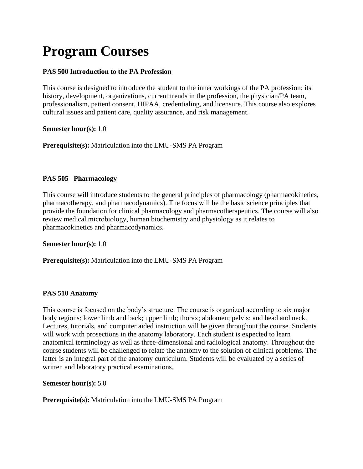# **Program Courses**

# **PAS 500 Introduction to the PA Profession**

This course is designed to introduce the student to the inner workings of the PA profession; its history, development, organizations, current trends in the profession, the physician/PA team, professionalism, patient consent, HIPAA, credentialing, and licensure. This course also explores cultural issues and patient care, quality assurance, and risk management.

**Semester hour(s):** 1.0

**Prerequisite(s):** Matriculation into the LMU-SMS PA Program

# **PAS 505 Pharmacology**

This course will introduce students to the general principles of pharmacology (pharmacokinetics, pharmacotherapy, and pharmacodynamics). The focus will be the basic science principles that provide the foundation for clinical pharmacology and pharmacotherapeutics. The course will also review medical microbiology, human biochemistry and physiology as it relates to pharmacokinetics and pharmacodynamics.

**Semester hour(s):** 1.0

**Prerequisite(s):** Matriculation into the LMU-SMS PA Program

# **PAS 510 Anatomy**

This course is focused on the body's structure. The course is organized according to six major body regions: lower limb and back; upper limb; thorax; abdomen; pelvis; and head and neck. Lectures, tutorials, and computer aided instruction will be given throughout the course. Students will work with prosections in the anatomy laboratory. Each student is expected to learn anatomical terminology as well as three-dimensional and radiological anatomy. Throughout the course students will be challenged to relate the anatomy to the solution of clinical problems. The latter is an integral part of the anatomy curriculum. Students will be evaluated by a series of written and laboratory practical examinations.

**Semester hour(s):** 5.0

**Prerequisite(s):** Matriculation into the LMU-SMS PA Program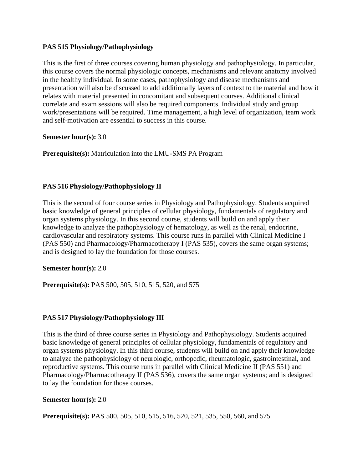# **PAS 515 Physiology/Pathophysiology**

This is the first of three courses covering human physiology and pathophysiology. In particular, this course covers the normal physiologic concepts, mechanisms and relevant anatomy involved in the healthy individual. In some cases, pathophysiology and disease mechanisms and presentation will also be discussed to add additionally layers of context to the material and how it relates with material presented in concomitant and subsequent courses. Additional clinical correlate and exam sessions will also be required components. Individual study and group work/presentations will be required. Time management, a high level of organization, team work and self-motivation are essential to success in this course.

**Semester hour(s):** 3.0

**Prerequisite(s):** Matriculation into the LMU-SMS PA Program

# **PAS 516 Physiology/Pathophysiology II**

This is the second of four course series in Physiology and Pathophysiology. Students acquired basic knowledge of general principles of cellular physiology, fundamentals of regulatory and organ systems physiology. In this second course, students will build on and apply their knowledge to analyze the pathophysiology of hematology, as well as the renal, endocrine, cardiovascular and respiratory systems. This course runs in parallel with Clinical Medicine I (PAS 550) and Pharmacology/Pharmacotherapy I (PAS 535), covers the same organ systems; and is designed to lay the foundation for those courses.

**Semester hour(s):** 2.0

**Prerequisite(s):** PAS 500, 505, 510, 515, 520, and 575

# **PAS 517 Physiology/Pathophysiology III**

This is the third of three course series in Physiology and Pathophysiology. Students acquired basic knowledge of general principles of cellular physiology, fundamentals of regulatory and organ systems physiology. In this third course, students will build on and apply their knowledge to analyze the pathophysiology of neurologic, orthopedic, rheumatologic, gastrointestinal, and reproductive systems. This course runs in parallel with Clinical Medicine II (PAS 551) and Pharmacology/Pharmacotherapy II (PAS 536), covers the same organ systems; and is designed to lay the foundation for those courses.

## **Semester hour(s):** 2.0

**Prerequisite(s):** PAS 500, 505, 510, 515, 516, 520, 521, 535, 550, 560, and 575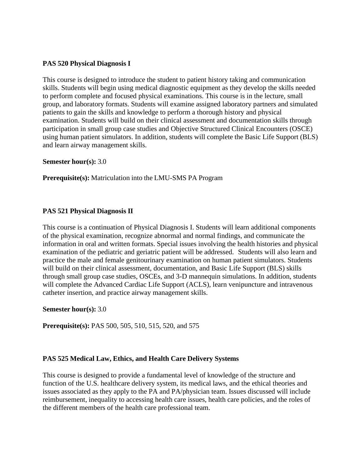## **PAS 520 Physical Diagnosis I**

This course is designed to introduce the student to patient history taking and communication skills. Students will begin using medical diagnostic equipment as they develop the skills needed to perform complete and focused physical examinations. This course is in the lecture, small group, and laboratory formats. Students will examine assigned laboratory partners and simulated patients to gain the skills and knowledge to perform a thorough history and physical examination. Students will build on their clinical assessment and documentation skills through participation in small group case studies and Objective Structured Clinical Encounters (OSCE) using human patient simulators. In addition, students will complete the Basic Life Support (BLS) and learn airway management skills.

## **Semester hour(s):** 3.0

**Prerequisite(s):** Matriculation into the LMU-SMS PA Program

## **PAS 521 Physical Diagnosis II**

This course is a continuation of Physical Diagnosis I. Students will learn additional components of the physical examination, recognize abnormal and normal findings, and communicate the information in oral and written formats. Special issues involving the health histories and physical examination of the pediatric and geriatric patient will be addressed. Students will also learn and practice the male and female genitourinary examination on human patient simulators. Students will build on their clinical assessment, documentation, and Basic Life Support (BLS) skills through small group case studies, OSCEs, and 3-D mannequin simulations. In addition, students will complete the Advanced Cardiac Life Support (ACLS), learn venipuncture and intravenous catheter insertion, and practice airway management skills.

## **Semester hour(s):** 3.0

**Prerequisite(s):** PAS 500, 505, 510, 515, 520, and 575

## **PAS 525 Medical Law, Ethics, and Health Care Delivery Systems**

This course is designed to provide a fundamental level of knowledge of the structure and function of the U.S. healthcare delivery system, its medical laws, and the ethical theories and issues associated as they apply to the PA and PA/physician team. Issues discussed will include reimbursement, inequality to accessing health care issues, health care policies, and the roles of the different members of the health care professional team.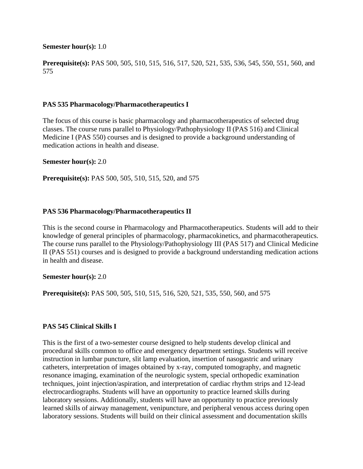#### **Semester hour(s):** 1.0

**Prerequisite(s):** PAS 500, 505, 510, 515, 516, 517, 520, 521, 535, 536, 545, 550, 551, 560, and 575

#### **PAS 535 Pharmacology/Pharmacotherapeutics I**

The focus of this course is basic pharmacology and pharmacotherapeutics of selected drug classes. The course runs parallel to Physiology/Pathophysiology II (PAS 516) and Clinical Medicine I (PAS 550) courses and is designed to provide a background understanding of medication actions in health and disease.

#### **Semester hour(s):** 2.0

**Prerequisite(s):** PAS 500, 505, 510, 515, 520, and 575

#### **PAS 536 Pharmacology/Pharmacotherapeutics II**

This is the second course in Pharmacology and Pharmacotherapeutics. Students will add to their knowledge of general principles of pharmacology, pharmacokinetics, and pharmacotherapeutics. The course runs parallel to the Physiology/Pathophysiology III (PAS 517) and Clinical Medicine II (PAS 551) courses and is designed to provide a background understanding medication actions in health and disease.

#### **Semester hour(s):** 2.0

**Prerequisite(s):** PAS 500, 505, 510, 515, 516, 520, 521, 535, 550, 560, and 575

## **PAS 545 Clinical Skills I**

This is the first of a two-semester course designed to help students develop clinical and procedural skills common to office and emergency department settings. Students will receive instruction in lumbar puncture, slit lamp evaluation, insertion of nasogastric and urinary catheters, interpretation of images obtained by x-ray, computed tomography, and magnetic resonance imaging, examination of the neurologic system, special orthopedic examination techniques, joint injection/aspiration, and interpretation of cardiac rhythm strips and 12-lead electrocardiographs. Students will have an opportunity to practice learned skills during laboratory sessions. Additionally, students will have an opportunity to practice previously learned skills of airway management, venipuncture, and peripheral venous access during open laboratory sessions. Students will build on their clinical assessment and documentation skills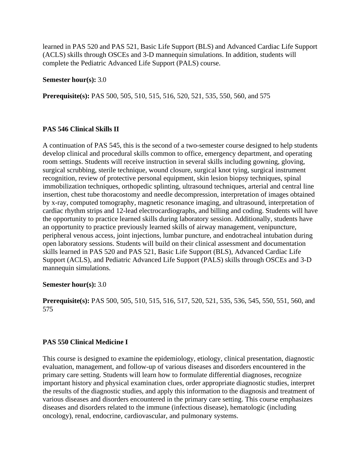learned in PAS 520 and PAS 521, Basic Life Support (BLS) and Advanced Cardiac Life Support (ACLS) skills through OSCEs and 3-D mannequin simulations. In addition, students will complete the Pediatric Advanced Life Support (PALS) course.

**Semester hour(s):** 3.0

**Prerequisite(s):** PAS 500, 505, 510, 515, 516, 520, 521, 535, 550, 560, and 575

#### **PAS 546 Clinical Skills II**

A continuation of PAS 545, this is the second of a two-semester course designed to help students develop clinical and procedural skills common to office, emergency department, and operating room settings. Students will receive instruction in several skills including gowning, gloving, surgical scrubbing, sterile technique, wound closure, surgical knot tying, surgical instrument recognition, review of protective personal equipment, skin lesion biopsy techniques, spinal immobilization techniques, orthopedic splinting, ultrasound techniques, arterial and central line insertion, chest tube thoracostomy and needle decompression, interpretation of images obtained by x-ray, computed tomography, magnetic resonance imaging, and ultrasound, interpretation of cardiac rhythm strips and 12-lead electrocardiographs, and billing and coding. Students will have the opportunity to practice learned skills during laboratory session. Additionally, students have an opportunity to practice previously learned skills of airway management, venipuncture, peripheral venous access, joint injections, lumbar puncture, and endotracheal intubation during open laboratory sessions. Students will build on their clinical assessment and documentation skills learned in PAS 520 and PAS 521, Basic Life Support (BLS), Advanced Cardiac Life Support (ACLS), and Pediatric Advanced Life Support (PALS) skills through OSCEs and 3-D mannequin simulations.

## **Semester hour(s):** 3.0

**Prerequisite(s):** PAS 500, 505, 510, 515, 516, 517, 520, 521, 535, 536, 545, 550, 551, 560, and 575

## **PAS 550 Clinical Medicine I**

This course is designed to examine the epidemiology, etiology, clinical presentation, diagnostic evaluation, management, and follow-up of various diseases and disorders encountered in the primary care setting. Students will learn how to formulate differential diagnoses, recognize important history and physical examination clues, order appropriate diagnostic studies, interpret the results of the diagnostic studies, and apply this information to the diagnosis and treatment of various diseases and disorders encountered in the primary care setting. This course emphasizes diseases and disorders related to the immune (infectious disease), hematologic (including oncology), renal, endocrine, cardiovascular, and pulmonary systems.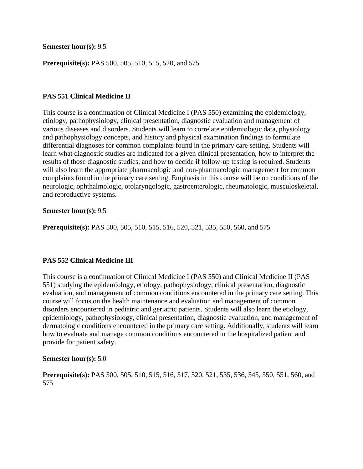#### **Semester hour(s):** 9.5

**Prerequisite(s):** PAS 500, 505, 510, 515, 520, and 575

## **PAS 551 Clinical Medicine II**

This course is a continuation of Clinical Medicine I (PAS 550) examining the epidemiology, etiology, pathophysiology, clinical presentation, diagnostic evaluation and management of various diseases and disorders. Students will learn to correlate epidemiologic data, physiology and pathophysiology concepts, and history and physical examination findings to formulate differential diagnoses for common complaints found in the primary care setting. Students will learn what diagnostic studies are indicated for a given clinical presentation, how to interpret the results of those diagnostic studies, and how to decide if follow-up testing is required. Students will also learn the appropriate pharmacologic and non-pharmacologic management for common complaints found in the primary care setting. Emphasis in this course will be on conditions of the neurologic, ophthalmologic, otolaryngologic, gastroenterologic, rheumatologic, musculoskeletal, and reproductive systems.

#### **Semester hour(s):** 9.5

**Prerequisite(s):** PAS 500, 505, 510, 515, 516, 520, 521, 535, 550, 560, and 575

## **PAS 552 Clinical Medicine III**

This course is a continuation of Clinical Medicine I (PAS 550) and Clinical Medicine II (PAS 551) studying the epidemiology, etiology, pathophysiology, clinical presentation, diagnostic evaluation, and management of common conditions encountered in the primary care setting. This course will focus on the health maintenance and evaluation and management of common disorders encountered in pediatric and geriatric patients. Students will also learn the etiology, epidemiology, pathophysiology, clinical presentation, diagnostic evaluation, and management of dermatologic conditions encountered in the primary care setting. Additionally, students will learn how to evaluate and manage common conditions encountered in the hospitalized patient and provide for patient safety.

## **Semester hour(s):** 5.0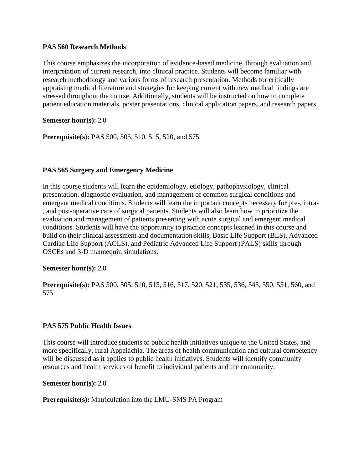## **PAS 560 Research Methods**

This course emphasizes the incorporation of evidence-based medicine, through evaluation and interpretation of current research, into clinical practice. Students will become familiar with research methodology and various forms of research presentation. Methods for critically appraising medical literature and strategies for keeping current with new medical findings are stressed throughout the course. Additionally, students will be instructed on how to complete patient education materials, poster presentations, clinical application papers, and research papers.

# **Semester hour(s):** 2.0

**Prerequisite(s):** PAS 500, 505, 510, 515, 520, and 575

# **PAS 565 Surgery and Emergency Medicine**

In this course students will learn the epidemiology, etiology, pathophysiology, clinical presentation, diagnostic evaluation, and management of common surgical conditions and emergent medical conditions. Students will learn the important concepts necessary for pre-, intra- , and post-operative care of surgical patients. Students will also learn how to prioritize the evaluation and management of patients presenting with acute surgical and emergent medical conditions. Students will have the opportunity to practice concepts learned in this course and build on their clinical assessment and documentation skills, Basic Life Support (BLS), Advanced Cardiac Life Support (ACLS), and Pediatric Advanced Life Support (PALS) skills through OSCEs and 3-D mannequin simulations.

## **Semester hour(s):** 2.0

**Prerequisite(s):** PAS 500, 505, 510, 515, 516, 517, 520, 521, 535, 536, 545, 550, 551, 560, and 575

# **PAS 575 Public Health Issues**

This course will introduce students to public health initiatives unique to the United States, and more specifically, rural Appalachia. The areas of health communication and cultural competency will be discussed as it applies to public health initiatives. Students will identify community resources and health services of benefit to individual patients and the community.

## **Semester hour(s):** 2.0

## **Prerequisite(s):** Matriculation into the LMU-SMS PA Program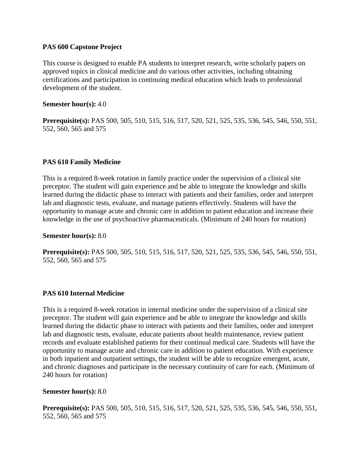## **PAS 600 Capstone Project**

This course is designed to enable PA students to interpret research, write scholarly papers on approved topics in clinical medicine and do various other activities, including obtaining certifications and participation in continuing medical education which leads to professional development of the student.

## **Semester hour(s):** 4.0

**Prerequisite(s):** PAS 500, 505, 510, 515, 516, 517, 520, 521, 525, 535, 536, 545, 546, 550, 551, 552, 560, 565 and 575

# **PAS 610 Family Medicine**

This is a required 8-week rotation in family practice under the supervision of a clinical site preceptor. The student will gain experience and be able to integrate the knowledge and skills learned during the didactic phase to interact with patients and their families, order and interpret lab and diagnostic tests, evaluate, and manage patients effectively. Students will have the opportunity to manage acute and chronic care in addition to patient education and increase their knowledge in the use of psychoactive pharmaceuticals. (Minimum of 240 hours for rotation)

## **Semester hour(s):** 8.0

**Prerequisite(s):** PAS 500, 505, 510, 515, 516, 517, 520, 521, 525, 535, 536, 545, 546, 550, 551, 552, 560, 565 and 575

## **PAS 610 Internal Medicine**

This is a required 8-week rotation in internal medicine under the supervision of a clinical site preceptor. The student will gain experience and be able to integrate the knowledge and skills learned during the didactic phase to interact with patients and their families, order and interpret lab and diagnostic tests, evaluate, educate patients about health maintenance, review patient records and evaluate established patients for their continual medical care. Students will have the opportunity to manage acute and chronic care in addition to patient education. With experience in both inpatient and outpatient settings, the student will be able to recognize emergent, acute, and chronic diagnoses and participate in the necessary continuity of care for each. (Minimum of 240 hours for rotation)

## **Semester hour(s):** 8.0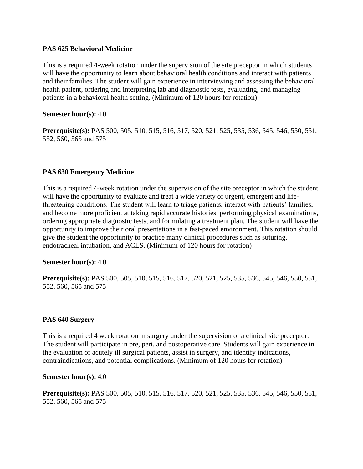# **PAS 625 Behavioral Medicine**

This is a required 4-week rotation under the supervision of the site preceptor in which students will have the opportunity to learn about behavioral health conditions and interact with patients and their families. The student will gain experience in interviewing and assessing the behavioral health patient, ordering and interpreting lab and diagnostic tests, evaluating, and managing patients in a behavioral health setting. (Minimum of 120 hours for rotation)

### **Semester hour(s):** 4.0

**Prerequisite(s):** PAS 500, 505, 510, 515, 516, 517, 520, 521, 525, 535, 536, 545, 546, 550, 551, 552, 560, 565 and 575

## **PAS 630 Emergency Medicine**

This is a required 4-week rotation under the supervision of the site preceptor in which the student will have the opportunity to evaluate and treat a wide variety of urgent, emergent and lifethreatening conditions. The student will learn to triage patients, interact with patients' families, and become more proficient at taking rapid accurate histories, performing physical examinations, ordering appropriate diagnostic tests, and formulating a treatment plan. The student will have the opportunity to improve their oral presentations in a fast-paced environment. This rotation should give the student the opportunity to practice many clinical procedures such as suturing, endotracheal intubation, and ACLS. (Minimum of 120 hours for rotation)

## **Semester hour(s):** 4.0

**Prerequisite(s):** PAS 500, 505, 510, 515, 516, 517, 520, 521, 525, 535, 536, 545, 546, 550, 551, 552, 560, 565 and 575

## **PAS 640 Surgery**

This is a required 4 week rotation in surgery under the supervision of a clinical site preceptor. The student will participate in pre, peri, and postoperative care. Students will gain experience in the evaluation of acutely ill surgical patients, assist in surgery, and identify indications, contraindications, and potential complications. (Minimum of 120 hours for rotation)

#### **Semester hour(s):** 4.0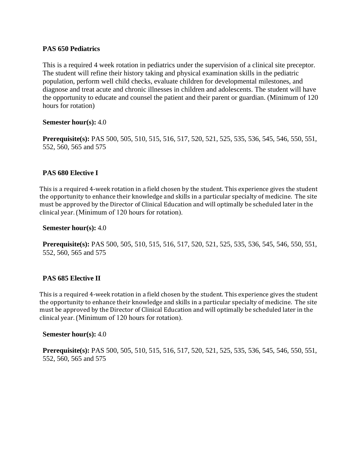# **PAS 650 Pediatrics**

This is a required 4 week rotation in pediatrics under the supervision of a clinical site preceptor. The student will refine their history taking and physical examination skills in the pediatric population, perform well child checks, evaluate children for developmental milestones, and diagnose and treat acute and chronic illnesses in children and adolescents. The student will have the opportunity to educate and counsel the patient and their parent or guardian. (Minimum of 120 hours for rotation)

## **Semester hour(s):** 4.0

**Prerequisite(s):** PAS 500, 505, 510, 515, 516, 517, 520, 521, 525, 535, 536, 545, 546, 550, 551, 552, 560, 565 and 575

## **PAS 680 Elective I**

This is a required 4-week rotation in a field chosen by the student. This experience gives the student the opportunity to enhance their knowledge and skills in a particular specialty of medicine. The site must be approved by the Director of Clinical Education and will optimally be scheduled later in the clinical year. (Minimum of 120 hours for rotation).

#### **Semester hour(s):** 4.0

**Prerequisite(s):** PAS 500, 505, 510, 515, 516, 517, 520, 521, 525, 535, 536, 545, 546, 550, 551, 552, 560, 565 and 575

## **PAS 685 Elective II**

This is a required 4-week rotation in a field chosen by the student. This experience gives the student the opportunity to enhance their knowledge and skills in a particular specialty of medicine. The site must be approved by the Director of Clinical Education and will optimally be scheduled later in the clinical year. (Minimum of 120 hours for rotation).

#### **Semester hour(s):** 4.0